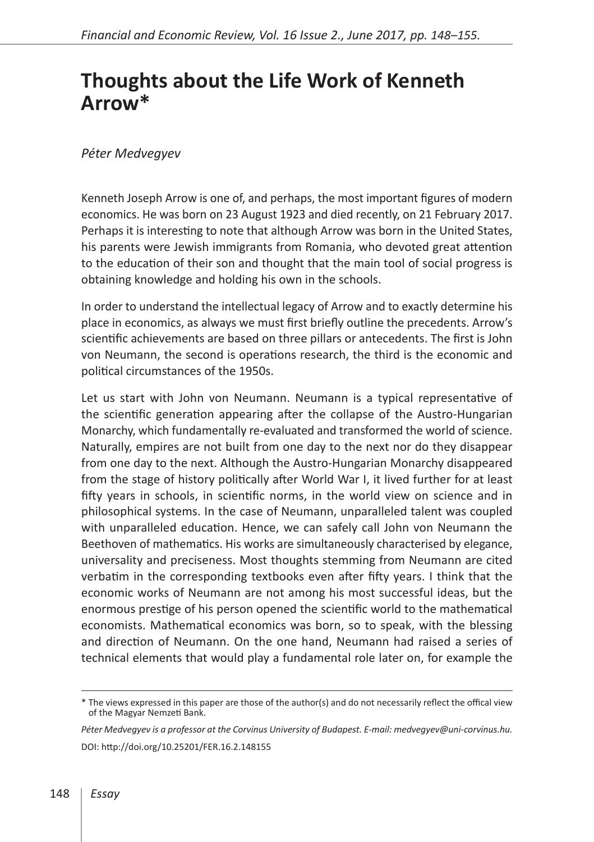## **Thoughts about the Life Work of Kenneth Arrow\***

## *Péter Medvegyev*

Kenneth Joseph Arrow is one of, and perhaps, the most important figures of modern economics. He was born on 23 August 1923 and died recently, on 21 February 2017. Perhaps it is interesting to note that although Arrow was born in the United States, his parents were Jewish immigrants from Romania, who devoted great attention to the education of their son and thought that the main tool of social progress is obtaining knowledge and holding his own in the schools.

In order to understand the intellectual legacy of Arrow and to exactly determine his place in economics, as always we must first briefly outline the precedents. Arrow's scientific achievements are based on three pillars or antecedents. The first is John von Neumann, the second is operations research, the third is the economic and political circumstances of the 1950s.

Let us start with John von Neumann. Neumann is a typical representative of the scientific generation appearing after the collapse of the Austro-Hungarian Monarchy, which fundamentally re-evaluated and transformed the world of science. Naturally, empires are not built from one day to the next nor do they disappear from one day to the next. Although the Austro-Hungarian Monarchy disappeared from the stage of history politically after World War I, it lived further for at least fifty years in schools, in scientific norms, in the world view on science and in philosophical systems. In the case of Neumann, unparalleled talent was coupled with unparalleled education. Hence, we can safely call John von Neumann the Beethoven of mathematics. His works are simultaneously characterised by elegance, universality and preciseness. Most thoughts stemming from Neumann are cited verbatim in the corresponding textbooks even after fifty years. I think that the economic works of Neumann are not among his most successful ideas, but the enormous prestige of his person opened the scientific world to the mathematical economists. Mathematical economics was born, so to speak, with the blessing and direction of Neumann. On the one hand, Neumann had raised a series of technical elements that would play a fundamental role later on, for example the

*Péter Medvegyev is a professor at the Corvinus University of Budapest. E-mail: medvegyev@uni-corvinus.hu.* DOI:<http://doi.org/10.25201/FER.16.2.148155>

<sup>\*</sup> The views expressed in this paper are those of the author(s) and do not necessarily reflect the offical view of the Magyar Nemzeti Bank.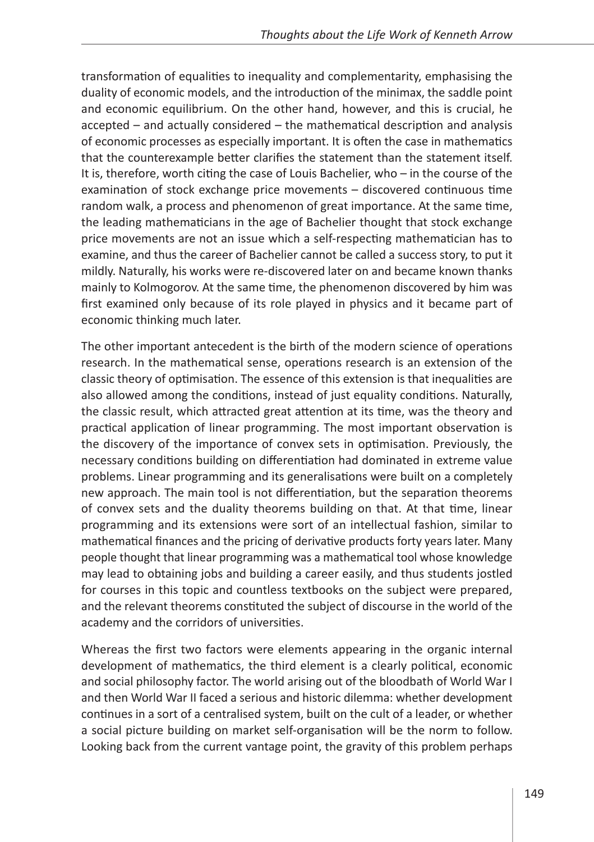transformation of equalities to inequality and complementarity, emphasising the duality of economic models, and the introduction of the minimax, the saddle point and economic equilibrium. On the other hand, however, and this is crucial, he accepted – and actually considered – the mathematical description and analysis of economic processes as especially important. It is often the case in mathematics that the counterexample better clarifies the statement than the statement itself. It is, therefore, worth citing the case of Louis Bachelier, who – in the course of the examination of stock exchange price movements – discovered continuous time random walk, a process and phenomenon of great importance. At the same time, the leading mathematicians in the age of Bachelier thought that stock exchange price movements are not an issue which a self-respecting mathematician has to examine, and thus the career of Bachelier cannot be called a success story, to put it mildly. Naturally, his works were re-discovered later on and became known thanks mainly to Kolmogorov. At the same time, the phenomenon discovered by him was first examined only because of its role played in physics and it became part of economic thinking much later.

The other important antecedent is the birth of the modern science of operations research. In the mathematical sense, operations research is an extension of the classic theory of optimisation. The essence of this extension is that inequalities are also allowed among the conditions, instead of just equality conditions. Naturally, the classic result, which attracted great attention at its time, was the theory and practical application of linear programming. The most important observation is the discovery of the importance of convex sets in optimisation. Previously, the necessary conditions building on differentiation had dominated in extreme value problems. Linear programming and its generalisations were built on a completely new approach. The main tool is not differentiation, but the separation theorems of convex sets and the duality theorems building on that. At that time, linear programming and its extensions were sort of an intellectual fashion, similar to mathematical finances and the pricing of derivative products forty years later. Many people thought that linear programming was a mathematical tool whose knowledge may lead to obtaining jobs and building a career easily, and thus students jostled for courses in this topic and countless textbooks on the subject were prepared, and the relevant theorems constituted the subject of discourse in the world of the academy and the corridors of universities.

Whereas the first two factors were elements appearing in the organic internal development of mathematics, the third element is a clearly political, economic and social philosophy factor. The world arising out of the bloodbath of World War I and then World War II faced a serious and historic dilemma: whether development continues in a sort of a centralised system, built on the cult of a leader, or whether a social picture building on market self-organisation will be the norm to follow. Looking back from the current vantage point, the gravity of this problem perhaps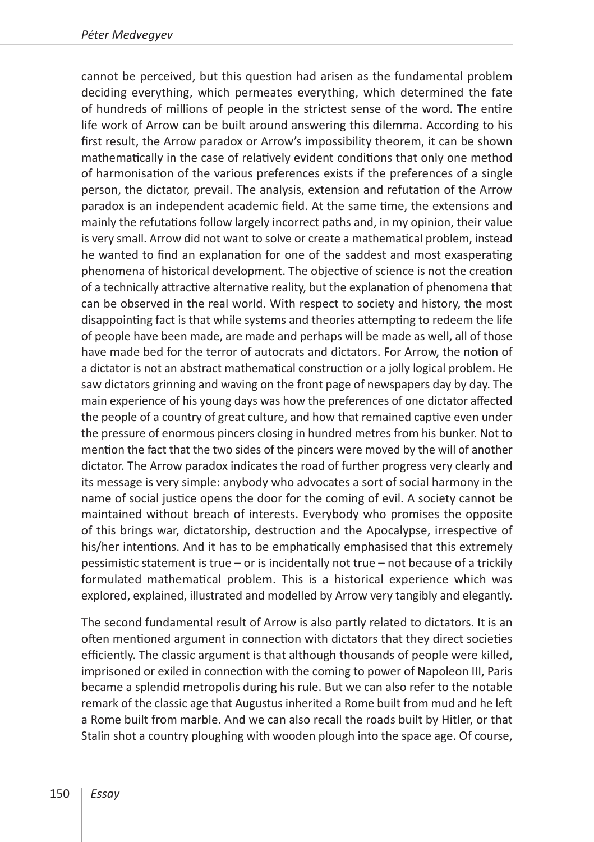cannot be perceived, but this question had arisen as the fundamental problem deciding everything, which permeates everything, which determined the fate of hundreds of millions of people in the strictest sense of the word. The entire life work of Arrow can be built around answering this dilemma. According to his first result, the Arrow paradox or Arrow's impossibility theorem, it can be shown mathematically in the case of relatively evident conditions that only one method of harmonisation of the various preferences exists if the preferences of a single person, the dictator, prevail. The analysis, extension and refutation of the Arrow paradox is an independent academic field. At the same time, the extensions and mainly the refutations follow largely incorrect paths and, in my opinion, their value is very small. Arrow did not want to solve or create a mathematical problem, instead he wanted to find an explanation for one of the saddest and most exasperating phenomena of historical development. The objective of science is not the creation of a technically attractive alternative reality, but the explanation of phenomena that can be observed in the real world. With respect to society and history, the most disappointing fact is that while systems and theories attempting to redeem the life of people have been made, are made and perhaps will be made as well, all of those have made bed for the terror of autocrats and dictators. For Arrow, the notion of a dictator is not an abstract mathematical construction or a jolly logical problem. He saw dictators grinning and waving on the front page of newspapers day by day. The main experience of his young days was how the preferences of one dictator affected the people of a country of great culture, and how that remained captive even under the pressure of enormous pincers closing in hundred metres from his bunker. Not to mention the fact that the two sides of the pincers were moved by the will of another dictator. The Arrow paradox indicates the road of further progress very clearly and its message is very simple: anybody who advocates a sort of social harmony in the name of social justice opens the door for the coming of evil. A society cannot be maintained without breach of interests. Everybody who promises the opposite of this brings war, dictatorship, destruction and the Apocalypse, irrespective of his/her intentions. And it has to be emphatically emphasised that this extremely pessimistic statement is true – or is incidentally not true – not because of a trickily formulated mathematical problem. This is a historical experience which was explored, explained, illustrated and modelled by Arrow very tangibly and elegantly.

The second fundamental result of Arrow is also partly related to dictators. It is an often mentioned argument in connection with dictators that they direct societies efficiently. The classic argument is that although thousands of people were killed, imprisoned or exiled in connection with the coming to power of Napoleon III, Paris became a splendid metropolis during his rule. But we can also refer to the notable remark of the classic age that Augustus inherited a Rome built from mud and he left a Rome built from marble. And we can also recall the roads built by Hitler, or that Stalin shot a country ploughing with wooden plough into the space age. Of course,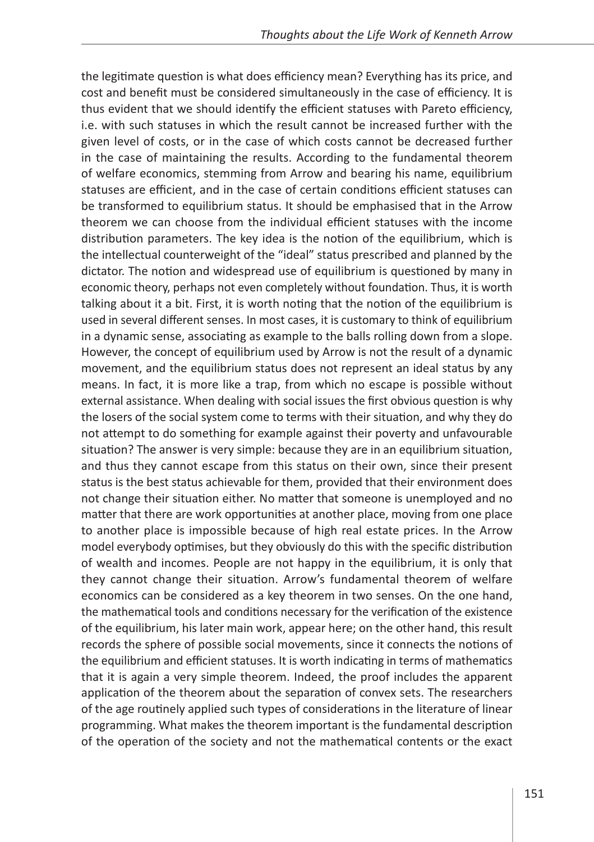the legitimate question is what does efficiency mean? Everything has its price, and cost and benefit must be considered simultaneously in the case of efficiency. It is thus evident that we should identify the efficient statuses with Pareto efficiency, i.e. with such statuses in which the result cannot be increased further with the given level of costs, or in the case of which costs cannot be decreased further in the case of maintaining the results. According to the fundamental theorem of welfare economics, stemming from Arrow and bearing his name, equilibrium statuses are efficient, and in the case of certain conditions efficient statuses can be transformed to equilibrium status. It should be emphasised that in the Arrow theorem we can choose from the individual efficient statuses with the income distribution parameters. The key idea is the notion of the equilibrium, which is the intellectual counterweight of the "ideal" status prescribed and planned by the dictator. The notion and widespread use of equilibrium is questioned by many in economic theory, perhaps not even completely without foundation. Thus, it is worth talking about it a bit. First, it is worth noting that the notion of the equilibrium is used in several different senses. In most cases, it is customary to think of equilibrium in a dynamic sense, associating as example to the balls rolling down from a slope. However, the concept of equilibrium used by Arrow is not the result of a dynamic movement, and the equilibrium status does not represent an ideal status by any means. In fact, it is more like a trap, from which no escape is possible without external assistance. When dealing with social issues the first obvious question is why the losers of the social system come to terms with their situation, and why they do not attempt to do something for example against their poverty and unfavourable situation? The answer is very simple: because they are in an equilibrium situation, and thus they cannot escape from this status on their own, since their present status is the best status achievable for them, provided that their environment does not change their situation either. No matter that someone is unemployed and no matter that there are work opportunities at another place, moving from one place to another place is impossible because of high real estate prices. In the Arrow model everybody optimises, but they obviously do this with the specific distribution of wealth and incomes. People are not happy in the equilibrium, it is only that they cannot change their situation. Arrow's fundamental theorem of welfare economics can be considered as a key theorem in two senses. On the one hand, the mathematical tools and conditions necessary for the verification of the existence of the equilibrium, his later main work, appear here; on the other hand, this result records the sphere of possible social movements, since it connects the notions of the equilibrium and efficient statuses. It is worth indicating in terms of mathematics that it is again a very simple theorem. Indeed, the proof includes the apparent application of the theorem about the separation of convex sets. The researchers of the age routinely applied such types of considerations in the literature of linear programming. What makes the theorem important is the fundamental description of the operation of the society and not the mathematical contents or the exact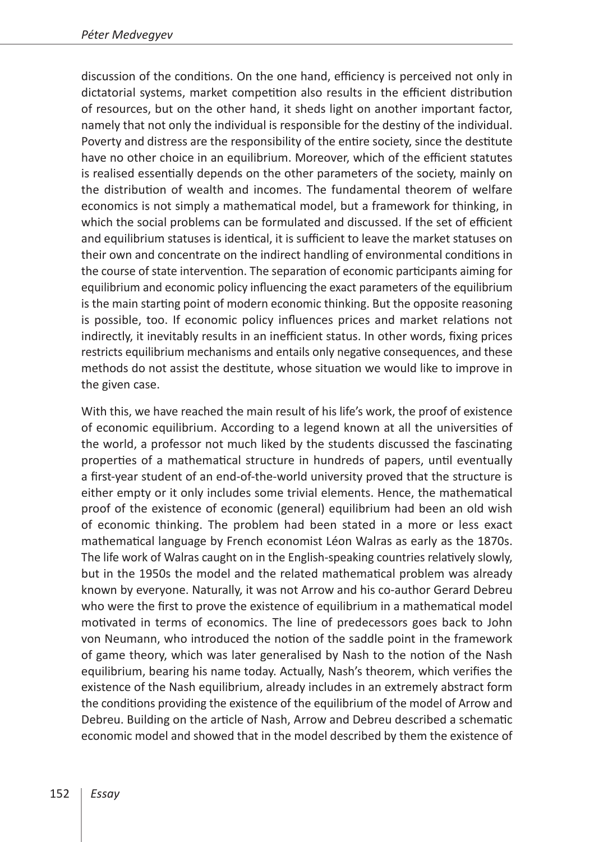discussion of the conditions. On the one hand, efficiency is perceived not only in dictatorial systems, market competition also results in the efficient distribution of resources, but on the other hand, it sheds light on another important factor, namely that not only the individual is responsible for the destiny of the individual. Poverty and distress are the responsibility of the entire society, since the destitute have no other choice in an equilibrium. Moreover, which of the efficient statutes is realised essentially depends on the other parameters of the society, mainly on the distribution of wealth and incomes. The fundamental theorem of welfare economics is not simply a mathematical model, but a framework for thinking, in which the social problems can be formulated and discussed. If the set of efficient and equilibrium statuses is identical, it is sufficient to leave the market statuses on their own and concentrate on the indirect handling of environmental conditions in the course of state intervention. The separation of economic participants aiming for equilibrium and economic policy influencing the exact parameters of the equilibrium is the main starting point of modern economic thinking. But the opposite reasoning is possible, too. If economic policy influences prices and market relations not indirectly, it inevitably results in an inefficient status. In other words, fixing prices restricts equilibrium mechanisms and entails only negative consequences, and these methods do not assist the destitute, whose situation we would like to improve in the given case.

With this, we have reached the main result of his life's work, the proof of existence of economic equilibrium. According to a legend known at all the universities of the world, a professor not much liked by the students discussed the fascinating properties of a mathematical structure in hundreds of papers, until eventually a first-year student of an end-of-the-world university proved that the structure is either empty or it only includes some trivial elements. Hence, the mathematical proof of the existence of economic (general) equilibrium had been an old wish of economic thinking. The problem had been stated in a more or less exact mathematical language by French economist Léon Walras as early as the 1870s. The life work of Walras caught on in the English-speaking countries relatively slowly, but in the 1950s the model and the related mathematical problem was already known by everyone. Naturally, it was not Arrow and his co-author Gerard Debreu who were the first to prove the existence of equilibrium in a mathematical model motivated in terms of economics. The line of predecessors goes back to John von Neumann, who introduced the notion of the saddle point in the framework of game theory, which was later generalised by Nash to the notion of the Nash equilibrium, bearing his name today. Actually, Nash's theorem, which verifies the existence of the Nash equilibrium, already includes in an extremely abstract form the conditions providing the existence of the equilibrium of the model of Arrow and Debreu. Building on the article of Nash, Arrow and Debreu described a schematic economic model and showed that in the model described by them the existence of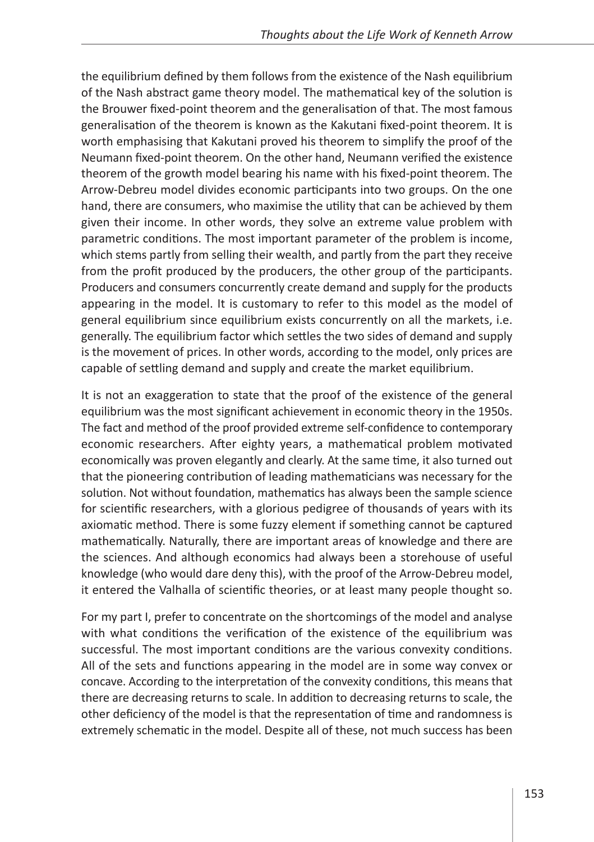the equilibrium defined by them follows from the existence of the Nash equilibrium of the Nash abstract game theory model. The mathematical key of the solution is the Brouwer fixed-point theorem and the generalisation of that. The most famous generalisation of the theorem is known as the Kakutani fixed-point theorem. It is worth emphasising that Kakutani proved his theorem to simplify the proof of the Neumann fixed-point theorem. On the other hand, Neumann verified the existence theorem of the growth model bearing his name with his fixed-point theorem. The Arrow-Debreu model divides economic participants into two groups. On the one hand, there are consumers, who maximise the utility that can be achieved by them given their income. In other words, they solve an extreme value problem with parametric conditions. The most important parameter of the problem is income, which stems partly from selling their wealth, and partly from the part they receive from the profit produced by the producers, the other group of the participants. Producers and consumers concurrently create demand and supply for the products appearing in the model. It is customary to refer to this model as the model of general equilibrium since equilibrium exists concurrently on all the markets, i.e. generally. The equilibrium factor which settles the two sides of demand and supply is the movement of prices. In other words, according to the model, only prices are capable of settling demand and supply and create the market equilibrium.

It is not an exaggeration to state that the proof of the existence of the general equilibrium was the most significant achievement in economic theory in the 1950s. The fact and method of the proof provided extreme self-confidence to contemporary economic researchers. After eighty years, a mathematical problem motivated economically was proven elegantly and clearly. At the same time, it also turned out that the pioneering contribution of leading mathematicians was necessary for the solution. Not without foundation, mathematics has always been the sample science for scientific researchers, with a glorious pedigree of thousands of years with its axiomatic method. There is some fuzzy element if something cannot be captured mathematically. Naturally, there are important areas of knowledge and there are the sciences. And although economics had always been a storehouse of useful knowledge (who would dare deny this), with the proof of the Arrow-Debreu model, it entered the Valhalla of scientific theories, or at least many people thought so.

For my part I, prefer to concentrate on the shortcomings of the model and analyse with what conditions the verification of the existence of the equilibrium was successful. The most important conditions are the various convexity conditions. All of the sets and functions appearing in the model are in some way convex or concave. According to the interpretation of the convexity conditions, this means that there are decreasing returns to scale. In addition to decreasing returns to scale, the other deficiency of the model is that the representation of time and randomness is extremely schematic in the model. Despite all of these, not much success has been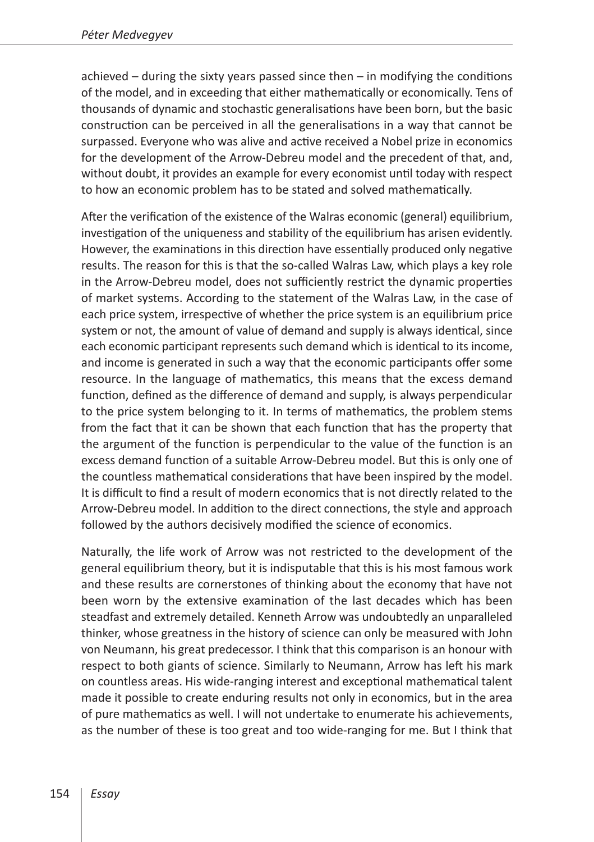achieved – during the sixty years passed since then – in modifying the conditions of the model, and in exceeding that either mathematically or economically. Tens of thousands of dynamic and stochastic generalisations have been born, but the basic construction can be perceived in all the generalisations in a way that cannot be surpassed. Everyone who was alive and active received a Nobel prize in economics for the development of the Arrow-Debreu model and the precedent of that, and, without doubt, it provides an example for every economist until today with respect to how an economic problem has to be stated and solved mathematically.

After the verification of the existence of the Walras economic (general) equilibrium, investigation of the uniqueness and stability of the equilibrium has arisen evidently. However, the examinations in this direction have essentially produced only negative results. The reason for this is that the so-called Walras Law, which plays a key role in the Arrow-Debreu model, does not sufficiently restrict the dynamic properties of market systems. According to the statement of the Walras Law, in the case of each price system, irrespective of whether the price system is an equilibrium price system or not, the amount of value of demand and supply is always identical, since each economic participant represents such demand which is identical to its income, and income is generated in such a way that the economic participants offer some resource. In the language of mathematics, this means that the excess demand function, defined as the difference of demand and supply, is always perpendicular to the price system belonging to it. In terms of mathematics, the problem stems from the fact that it can be shown that each function that has the property that the argument of the function is perpendicular to the value of the function is an excess demand function of a suitable Arrow-Debreu model. But this is only one of the countless mathematical considerations that have been inspired by the model. It is difficult to find a result of modern economics that is not directly related to the Arrow-Debreu model. In addition to the direct connections, the style and approach followed by the authors decisively modified the science of economics.

Naturally, the life work of Arrow was not restricted to the development of the general equilibrium theory, but it is indisputable that this is his most famous work and these results are cornerstones of thinking about the economy that have not been worn by the extensive examination of the last decades which has been steadfast and extremely detailed. Kenneth Arrow was undoubtedly an unparalleled thinker, whose greatness in the history of science can only be measured with John von Neumann, his great predecessor. I think that this comparison is an honour with respect to both giants of science. Similarly to Neumann, Arrow has left his mark on countless areas. His wide-ranging interest and exceptional mathematical talent made it possible to create enduring results not only in economics, but in the area of pure mathematics as well. I will not undertake to enumerate his achievements, as the number of these is too great and too wide-ranging for me. But I think that